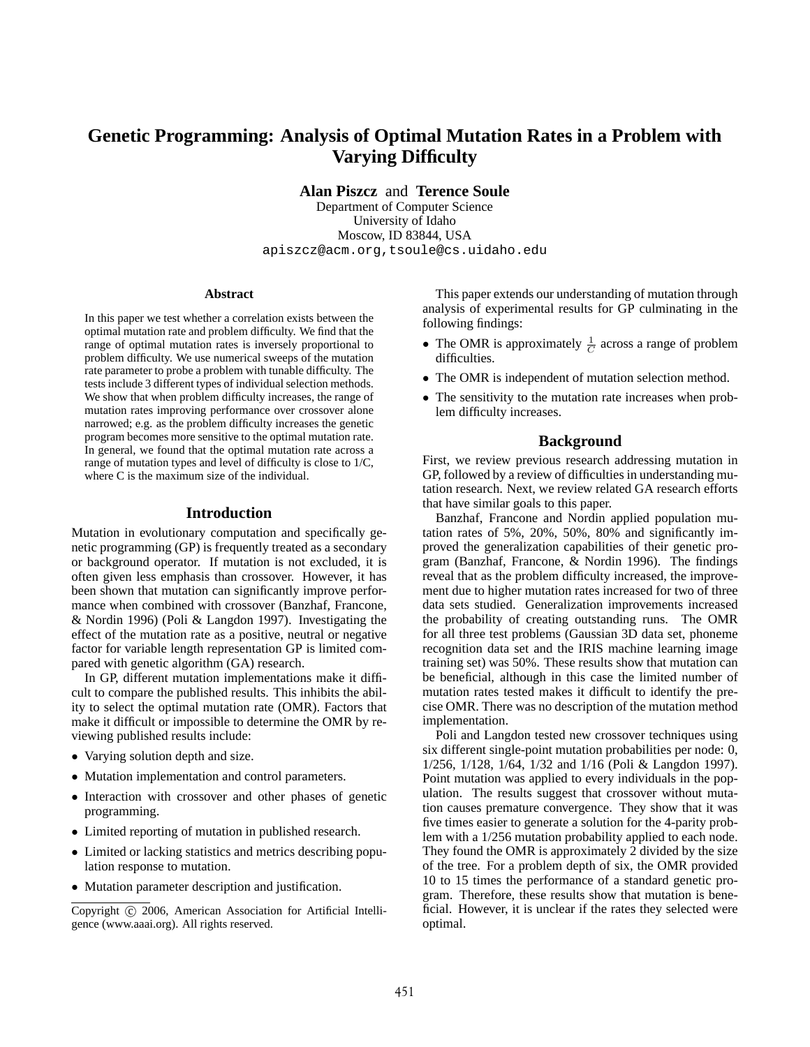# **Genetic Programming: Analysis of Optimal Mutation Rates in a Problem with Varying Difficulty**

**Alan Piszcz** and **Terence Soule**

Department of Computer Science University of Idaho Moscow, ID 83844, USA apiszcz@acm.org,tsoule@cs.uidaho.edu

#### **Abstract**

In this paper we test whether a correlation exists between the optimal mutation rate and problem difficulty. We find that the range of optimal mutation rates is inversely proportional to problem difficulty. We use numerical sweeps of the mutation rate parameter to probe a problem with tunable difficulty. The tests include 3 different types of individual selection methods. We show that when problem difficulty increases, the range of mutation rates improving performance over crossover alone narrowed; e.g. as the problem difficulty increases the genetic program becomes more sensitive to the optimal mutation rate. In general, we found that the optimal mutation rate across a range of mutation types and level of difficulty is close to 1/C, where C is the maximum size of the individual.

#### **Introduction**

Mutation in evolutionary computation and specifically genetic programming (GP) is frequently treated as a secondary or background operator. If mutation is not excluded, it is often given less emphasis than crossover. However, it has been shown that mutation can significantly improve performance when combined with crossover (Banzhaf, Francone, & Nordin 1996) (Poli & Langdon 1997). Investigating the effect of the mutation rate as a positive, neutral or negative factor for variable length representation GP is limited compared with genetic algorithm (GA) research.

In GP, different mutation implementations make it difficult to compare the published results. This inhibits the ability to select the optimal mutation rate (OMR). Factors that make it difficult or impossible to determine the OMR by reviewing published results include:

- Varying solution depth and size.
- Mutation implementation and control parameters.
- Interaction with crossover and other phases of genetic programming.
- Limited reporting of mutation in published research.
- Limited or lacking statistics and metrics describing population response to mutation.
- Mutation parameter description and justification.

This paper extends our understanding of mutation through analysis of experimental results for GP culminating in the following findings:

- The OMR is approximately  $\frac{1}{C}$  across a range of problem difficulties.
- The OMR is independent of mutation selection method.
- The sensitivity to the mutation rate increases when problem difficulty increases.

#### **Background**

First, we review previous research addressing mutation in GP, followed by a review of difficulties in understanding mutation research. Next, we review related GA research efforts that have similar goals to this paper.

Banzhaf, Francone and Nordin applied population mutation rates of 5%, 20%, 50%, 80% and significantly improved the generalization capabilities of their genetic program (Banzhaf, Francone, & Nordin 1996). The findings reveal that as the problem difficulty increased, the improvement due to higher mutation rates increased for two of three data sets studied. Generalization improvements increased the probability of creating outstanding runs. The OMR for all three test problems (Gaussian 3D data set, phoneme recognition data set and the IRIS machine learning image training set) was 50%. These results show that mutation can be beneficial, although in this case the limited number of mutation rates tested makes it difficult to identify the precise OMR. There was no description of the mutation method implementation.

Poli and Langdon tested new crossover techniques using six different single-point mutation probabilities per node: 0, 1/256, 1/128, 1/64, 1/32 and 1/16 (Poli & Langdon 1997). Point mutation was applied to every individuals in the population. The results suggest that crossover without mutation causes premature convergence. They show that it was five times easier to generate a solution for the 4-parity problem with a 1/256 mutation probability applied to each node. They found the OMR is approximately 2 divided by the size of the tree. For a problem depth of six, the OMR provided 10 to 15 times the performance of a standard genetic program. Therefore, these results show that mutation is beneficial. However, it is unclear if the rates they selected were optimal.

Copyright © 2006, American Association for Artificial Intelligence (www.aaai.org). All rights reserved.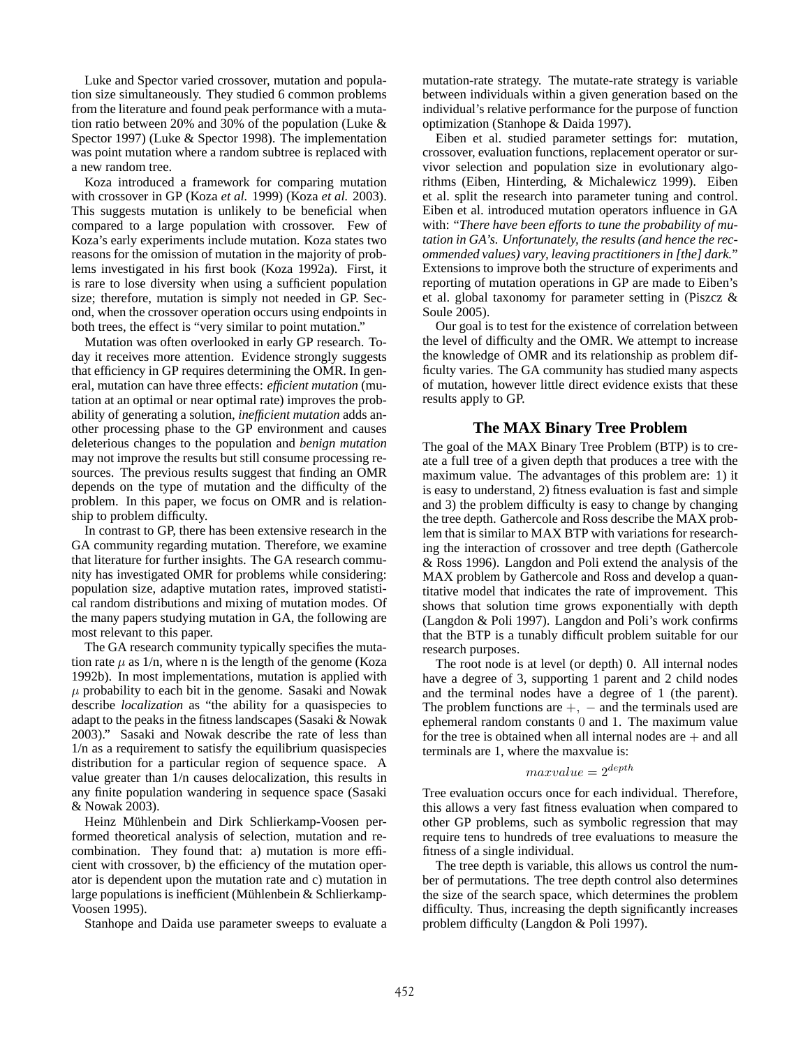Luke and Spector varied crossover, mutation and population size simultaneously. They studied 6 common problems from the literature and found peak performance with a mutation ratio between 20% and 30% of the population (Luke & Spector 1997) (Luke & Spector 1998). The implementation was point mutation where a random subtree is replaced with a new random tree.

Koza introduced a framework for comparing mutation with crossover in GP (Koza *et al.* 1999) (Koza *et al.* 2003). This suggests mutation is unlikely to be beneficial when compared to a large population with crossover. Few of Koza's early experiments include mutation. Koza states two reasons for the omission of mutation in the majority of problems investigated in his first book (Koza 1992a). First, it is rare to lose diversity when using a sufficient population size; therefore, mutation is simply not needed in GP. Second, when the crossover operation occurs using endpoints in both trees, the effect is "very similar to point mutation."

Mutation was often overlooked in early GP research. Today it receives more attention. Evidence strongly suggests that efficiency in GP requires determining the OMR. In general, mutation can have three effects: *efficient mutation* (mutation at an optimal or near optimal rate) improves the probability of generating a solution, *inefficient mutation* adds another processing phase to the GP environment and causes deleterious changes to the population and *benign mutation* may not improve the results but still consume processing resources. The previous results suggest that finding an OMR depends on the type of mutation and the difficulty of the problem. In this paper, we focus on OMR and is relationship to problem difficulty.

In contrast to GP, there has been extensive research in the GA community regarding mutation. Therefore, we examine that literature for further insights. The GA research community has investigated OMR for problems while considering: population size, adaptive mutation rates, improved statistical random distributions and mixing of mutation modes. Of the many papers studying mutation in GA, the following are most relevant to this paper.

The GA research community typically specifies the mutation rate  $\mu$  as 1/n, where n is the length of the genome (Koza 1992b). In most implementations, mutation is applied with  $\mu$  probability to each bit in the genome. Sasaki and Nowak describe *localization* as "the ability for a quasispecies to adapt to the peaks in the fitness landscapes (Sasaki & Nowak 2003)." Sasaki and Nowak describe the rate of less than 1/n as a requirement to satisfy the equilibrium quasispecies distribution for a particular region of sequence space. A value greater than 1/n causes delocalization, this results in any finite population wandering in sequence space (Sasaki & Nowak 2003).

Heinz Mühlenbein and Dirk Schlierkamp-Voosen performed theoretical analysis of selection, mutation and recombination. They found that: a) mutation is more efficient with crossover, b) the efficiency of the mutation operator is dependent upon the mutation rate and c) mutation in large populations is inefficient (Mühlenbein & Schlierkamp-Voosen 1995).

Stanhope and Daida use parameter sweeps to evaluate a

mutation-rate strategy. The mutate-rate strategy is variable between individuals within a given generation based on the individual's relative performance for the purpose of function optimization (Stanhope & Daida 1997).

Eiben et al. studied parameter settings for: mutation, crossover, evaluation functions, replacement operator or survivor selection and population size in evolutionary algorithms (Eiben, Hinterding, & Michalewicz 1999). Eiben et al. split the research into parameter tuning and control. Eiben et al. introduced mutation operators influence in GA with: "*There have been efforts to tune the probability of mutation in GA's. Unfortunately, the results (and hence the recommended values) vary, leaving practitioners in [the] dark.*" Extensions to improve both the structure of experiments and reporting of mutation operations in GP are made to Eiben's et al. global taxonomy for parameter setting in (Piszcz & Soule 2005).

Our goal is to test for the existence of correlation between the level of difficulty and the OMR. We attempt to increase the knowledge of OMR and its relationship as problem difficulty varies. The GA community has studied many aspects of mutation, however little direct evidence exists that these results apply to GP.

# **The MAX Binary Tree Problem**

The goal of the MAX Binary Tree Problem (BTP) is to create a full tree of a given depth that produces a tree with the maximum value. The advantages of this problem are: 1) it is easy to understand, 2) fitness evaluation is fast and simple and 3) the problem difficulty is easy to change by changing the tree depth. Gathercole and Ross describe the MAX problem that is similar to MAX BTP with variations for researching the interaction of crossover and tree depth (Gathercole & Ross 1996). Langdon and Poli extend the analysis of the MAX problem by Gathercole and Ross and develop a quantitative model that indicates the rate of improvement. This shows that solution time grows exponentially with depth (Langdon & Poli 1997). Langdon and Poli's work confirms that the BTP is a tunably difficult problem suitable for our research purposes.

The root node is at level (or depth) 0. All internal nodes have a degree of 3, supporting 1 parent and 2 child nodes and the terminal nodes have a degree of 1 (the parent). The problem functions are  $+$ ,  $-$  and the terminals used are ephemeral random constants 0 and 1. The maximum value for the tree is obtained when all internal nodes are  $+$  and all terminals are 1, where the maxvalue is:

# $maxvalue = 2^{depth}$

Tree evaluation occurs once for each individual. Therefore, this allows a very fast fitness evaluation when compared to other GP problems, such as symbolic regression that may require tens to hundreds of tree evaluations to measure the fitness of a single individual.

The tree depth is variable, this allows us control the number of permutations. The tree depth control also determines the size of the search space, which determines the problem difficulty. Thus, increasing the depth significantly increases problem difficulty (Langdon & Poli 1997).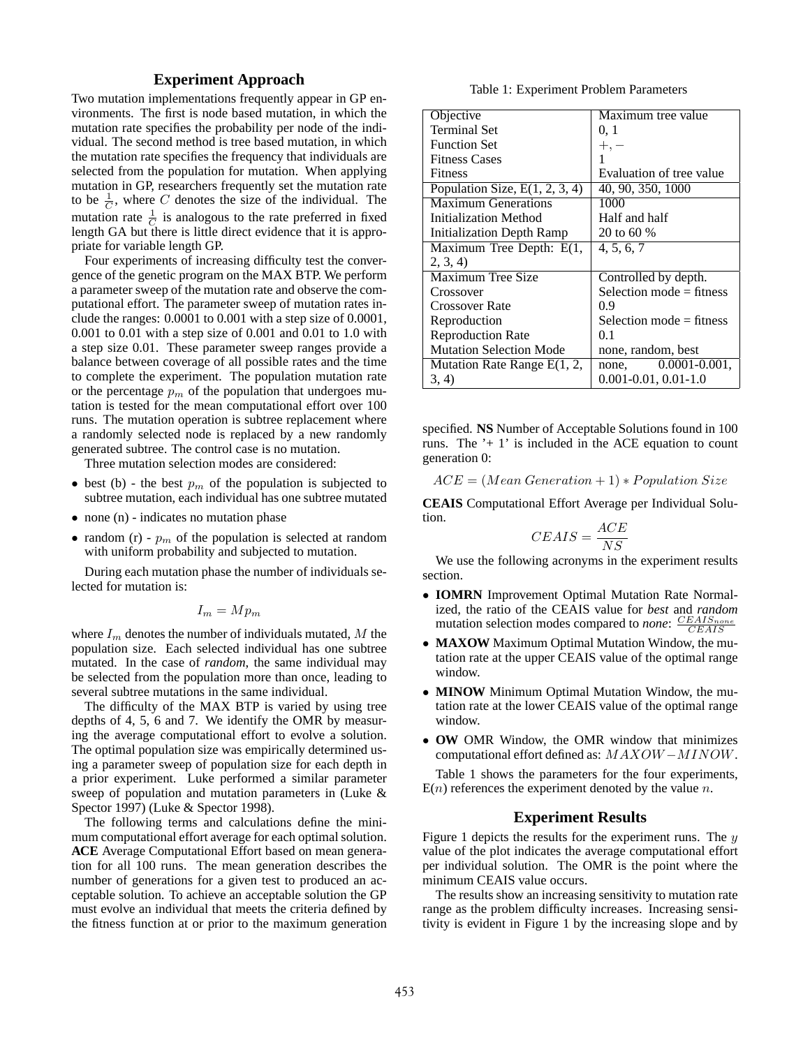# **Experiment Approach**

Two mutation implementations frequently appear in GP environments. The first is node based mutation, in which the mutation rate specifies the probability per node of the individual. The second method is tree based mutation, in which the mutation rate specifies the frequency that individuals are selected from the population for mutation. When applying mutation in GP, researchers frequently set the mutation rate to be  $\frac{1}{C}$ , where C denotes the size of the individual. The mutation rate  $\frac{1}{C}$  is analogous to the rate preferred in fixed length GA but there is little direct evidence that it is appropriate for variable length GP.

Four experiments of increasing difficulty test the convergence of the genetic program on the MAX BTP. We perform a parameter sweep of the mutation rate and observe the computational effort. The parameter sweep of mutation rates include the ranges: 0.0001 to 0.001 with a step size of 0.0001, 0.001 to 0.01 with a step size of 0.001 and 0.01 to 1.0 with a step size 0.01. These parameter sweep ranges provide a balance between coverage of all possible rates and the time to complete the experiment. The population mutation rate or the percentage  $p_m$  of the population that undergoes mutation is tested for the mean computational effort over 100 runs. The mutation operation is subtree replacement where a randomly selected node is replaced by a new randomly generated subtree. The control case is no mutation.

Three mutation selection modes are considered:

- best (b) the best  $p_m$  of the population is subjected to subtree mutation, each individual has one subtree mutated
- none (n) indicates no mutation phase
- random (r)  $p_m$  of the population is selected at random with uniform probability and subjected to mutation.

During each mutation phase the number of individuals selected for mutation is:

 $I_m = Mp_m$ 

where  $I_m$  denotes the number of individuals mutated, M the population size. Each selected individual has one subtree mutated. In the case of *random*, the same individual may be selected from the population more than once, leading to several subtree mutations in the same individual.

The difficulty of the MAX BTP is varied by using tree depths of 4, 5, 6 and 7. We identify the OMR by measuring the average computational effort to evolve a solution. The optimal population size was empirically determined using a parameter sweep of population size for each depth in a prior experiment. Luke performed a similar parameter sweep of population and mutation parameters in (Luke & Spector 1997) (Luke & Spector 1998).

The following terms and calculations define the minimum computational effort average for each optimal solution. **ACE** Average Computational Effort based on mean generation for all 100 runs. The mean generation describes the number of generations for a given test to produced an acceptable solution. To achieve an acceptable solution the GP must evolve an individual that meets the criteria defined by the fitness function at or prior to the maximum generation

Table 1: Experiment Problem Parameters

| Objective                        | Maximum tree value         |  |  |
|----------------------------------|----------------------------|--|--|
| <b>Terminal Set</b>              | 0, 1                       |  |  |
| <b>Function Set</b>              | $+, -$                     |  |  |
| <b>Fitness Cases</b>             | 1                          |  |  |
| <b>Fitness</b>                   | Evaluation of tree value   |  |  |
| Population Size, $E(1, 2, 3, 4)$ | 40, 90, 350, 1000          |  |  |
| <b>Maximum Generations</b>       | 1000                       |  |  |
| Initialization Method            | Half and half              |  |  |
| Initialization Depth Ramp        | 20 to 60 %                 |  |  |
| Maximum Tree Depth: E(1,         | 4, 5, 6, 7                 |  |  |
| 2, 3, 4                          |                            |  |  |
| Maximum Tree Size                | Controlled by depth.       |  |  |
| Crossover                        | Selection mode $=$ fitness |  |  |
| Crossover Rate                   | 0.9                        |  |  |
| Reproduction                     | Selection mode $=$ fitness |  |  |
| <b>Reproduction Rate</b>         | 01                         |  |  |
| <b>Mutation Selection Mode</b>   | none, random, best         |  |  |
| Mutation Rate Range $E(1, 2, 1)$ | none, $0.0001 - 0.001$ ,   |  |  |
| 3, 4)                            | $0.001 - 0.01, 0.01 - 1.0$ |  |  |

specified. **NS** Number of Acceptable Solutions found in 100 runs. The  $+1$  is included in the ACE equation to count generation 0:

 $ACE = (Mean Generation + 1) * Population Size$ 

**CEAIS** Computational Effort Average per Individual Solution.

$$
CEAIS = \frac{ACE}{NS}
$$

We use the following acronyms in the experiment results section.

- **IOMRN** Improvement Optimal Mutation Rate Normalized, the ratio of the CEAIS value for *best* and *random* mutation selection modes compared to *none*:  $\frac{CEAIS_{none}}{CEAIS}$
- **MAXOW** Maximum Optimal Mutation Window, the mutation rate at the upper CEAIS value of the optimal range window.
- **MINOW** Minimum Optimal Mutation Window, the mutation rate at the lower CEAIS value of the optimal range window.
- **OW** OMR Window, the OMR window that minimizes computational effort defined as: MAXOW −MINOW.

Table 1 shows the parameters for the four experiments,  $E(n)$  references the experiment denoted by the value n.

# **Experiment Results**

Figure 1 depicts the results for the experiment runs. The  $y$ value of the plot indicates the average computational effort per individual solution. The OMR is the point where the minimum CEAIS value occurs.

The results show an increasing sensitivity to mutation rate range as the problem difficulty increases. Increasing sensitivity is evident in Figure 1 by the increasing slope and by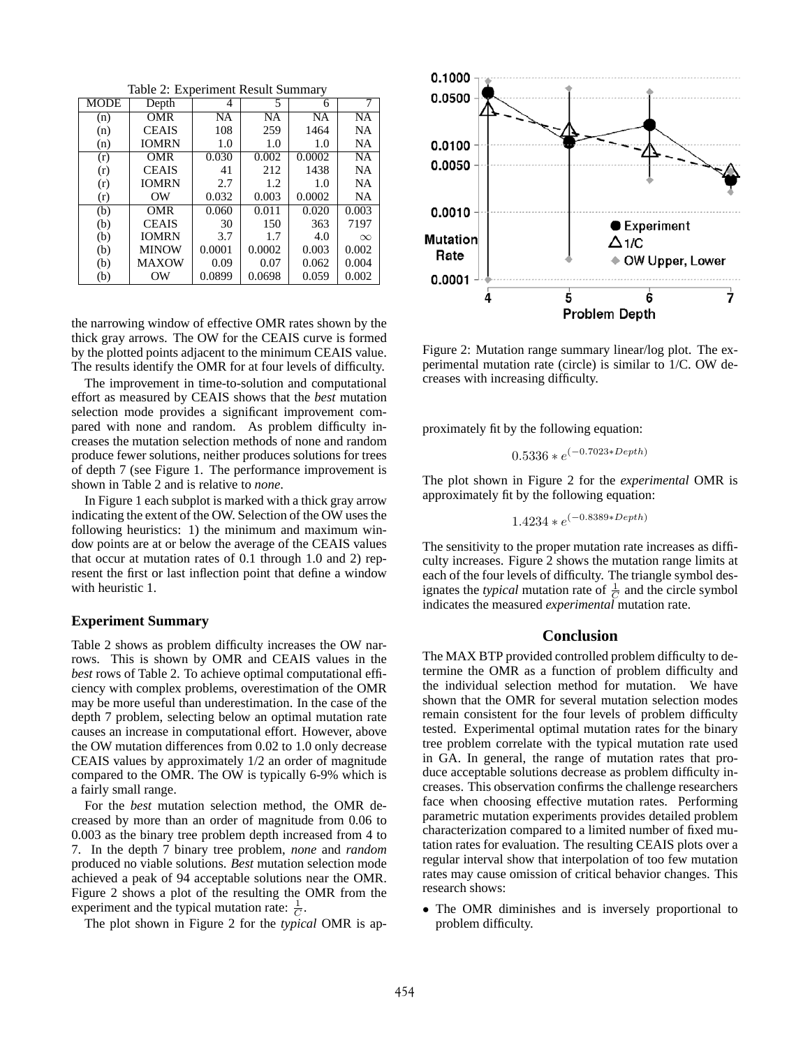Table 2: Experiment Result Summary

| <b>MODE</b> | Depth        | 4         | 5      | 6         | 7               |
|-------------|--------------|-----------|--------|-----------|-----------------|
| (n)         | <b>OMR</b>   | <b>NA</b> | NA     | <b>NA</b> | $\overline{NA}$ |
| (n)         | <b>CEAIS</b> | 108       | 259    | 1464      | <b>NA</b>       |
| (n)         | <b>IOMRN</b> | 1.0       | 1.0    | 1.0       | NA              |
| (r)         | <b>OMR</b>   | 0.030     | 0.002  | 0.0002    | <b>NA</b>       |
| (r)         | <b>CEAIS</b> | 41        | 212    | 1438      | <b>NA</b>       |
| (r)         | <b>IOMRN</b> | 2.7       | 1.2    | 1.0       | NA              |
| (r)         | OW           | 0.032     | 0.003  | 0.0002    | NA              |
| (b)         | <b>OMR</b>   | 0.060     | 0.011  | 0.020     | 0.003           |
| (b)         | <b>CEAIS</b> | 30        | 150    | 363       | 7197            |
| (b)         | <b>IOMRN</b> | 3.7       | 1.7    | 4.0       | $\infty$        |
| (b)         | <b>MINOW</b> | 0.0001    | 0.0002 | 0.003     | 0.002           |
| (b)         | <b>MAXOW</b> | 0.09      | 0.07   | 0.062     | 0.004           |
| (b)         | OW           | 0.0899    | 0.0698 | 0.059     | 0.002           |

the narrowing window of effective OMR rates shown by the thick gray arrows. The OW for the CEAIS curve is formed by the plotted points adjacent to the minimum CEAIS value. The results identify the OMR for at four levels of difficulty.

The improvement in time-to-solution and computational effort as measured by CEAIS shows that the *best* mutation selection mode provides a significant improvement compared with none and random. As problem difficulty increases the mutation selection methods of none and random produce fewer solutions, neither produces solutions for trees of depth 7 (see Figure 1. The performance improvement is shown in Table 2 and is relative to *none*.

In Figure 1 each subplot is marked with a thick gray arrow indicating the extent of the OW. Selection of the OW uses the following heuristics: 1) the minimum and maximum window points are at or below the average of the CEAIS values that occur at mutation rates of 0.1 through 1.0 and 2) represent the first or last inflection point that define a window with heuristic 1.

#### **Experiment Summary**

Table 2 shows as problem difficulty increases the OW narrows. This is shown by OMR and CEAIS values in the *best* rows of Table 2. To achieve optimal computational efficiency with complex problems, overestimation of the OMR may be more useful than underestimation. In the case of the depth 7 problem, selecting below an optimal mutation rate causes an increase in computational effort. However, above the OW mutation differences from 0.02 to 1.0 only decrease CEAIS values by approximately 1/2 an order of magnitude compared to the OMR. The OW is typically 6-9% which is a fairly small range.

For the *best* mutation selection method, the OMR decreased by more than an order of magnitude from 0.06 to 0.003 as the binary tree problem depth increased from 4 to 7. In the depth 7 binary tree problem, *none* and *random* produced no viable solutions. *Best* mutation selection mode achieved a peak of 94 acceptable solutions near the OMR. Figure 2 shows a plot of the resulting the OMR from the experiment and the typical mutation rate:  $\frac{1}{C}$ .

The plot shown in Figure 2 for the *typical* OMR is ap-



Figure 2: Mutation range summary linear/log plot. The experimental mutation rate (circle) is similar to 1/C. OW decreases with increasing difficulty.

proximately fit by the following equation:

$$
0.5336 * e^{(-0.7023 * Depth)}
$$

The plot shown in Figure 2 for the *experimental* OMR is approximately fit by the following equation:

$$
1.4234 * e^{(-0.8389 * Depth)}
$$

The sensitivity to the proper mutation rate increases as difficulty increases. Figure 2 shows the mutation range limits at each of the four levels of difficulty. The triangle symbol designates the *typical* mutation rate of  $\frac{1}{C}$  and the circle symbol indicates the measured *experimental* mutation rate.

#### **Conclusion**

The MAX BTP provided controlled problem difficulty to determine the OMR as a function of problem difficulty and the individual selection method for mutation. We have shown that the OMR for several mutation selection modes remain consistent for the four levels of problem difficulty tested. Experimental optimal mutation rates for the binary tree problem correlate with the typical mutation rate used in GA. In general, the range of mutation rates that produce acceptable solutions decrease as problem difficulty increases. This observation confirms the challenge researchers face when choosing effective mutation rates. Performing parametric mutation experiments provides detailed problem characterization compared to a limited number of fixed mutation rates for evaluation. The resulting CEAIS plots over a regular interval show that interpolation of too few mutation rates may cause omission of critical behavior changes. This research shows:

• The OMR diminishes and is inversely proportional to problem difficulty.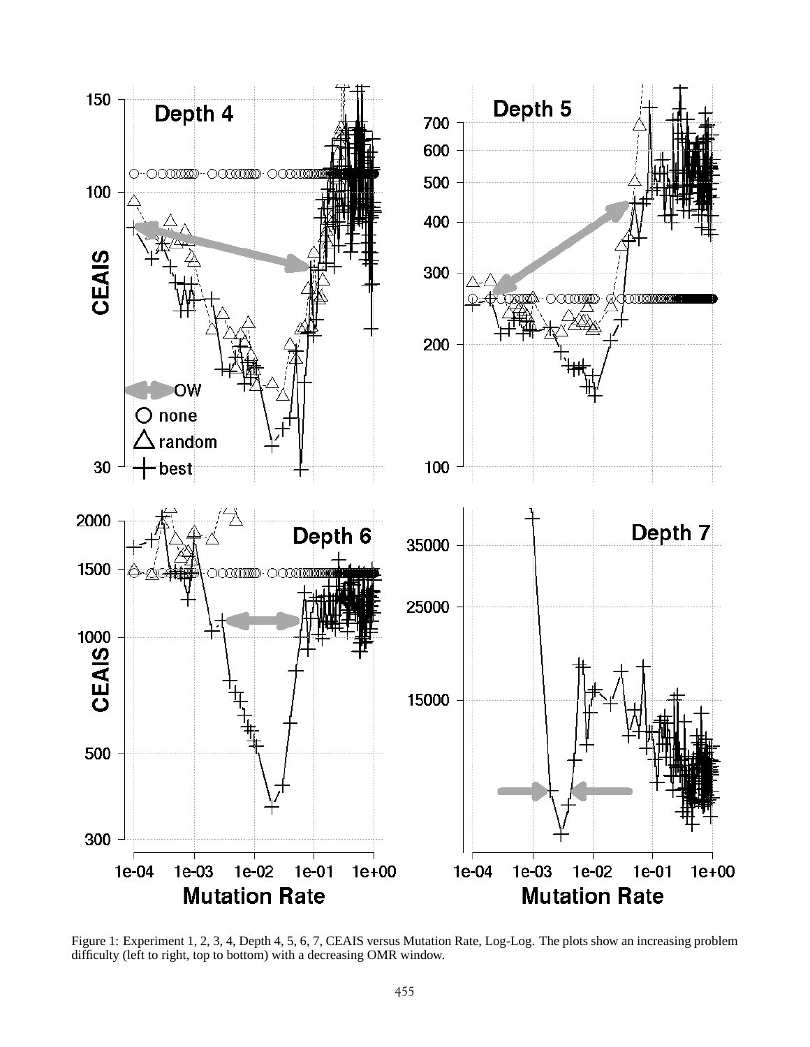

Figure 1: Experiment 1, 2, 3, 4, Depth 4, 5, 6, 7, CEAIS versus Mutation Rate, Log-Log. The plots show an increasing problem difficulty (left to right, top to bottom) with a decreasing OMR window.